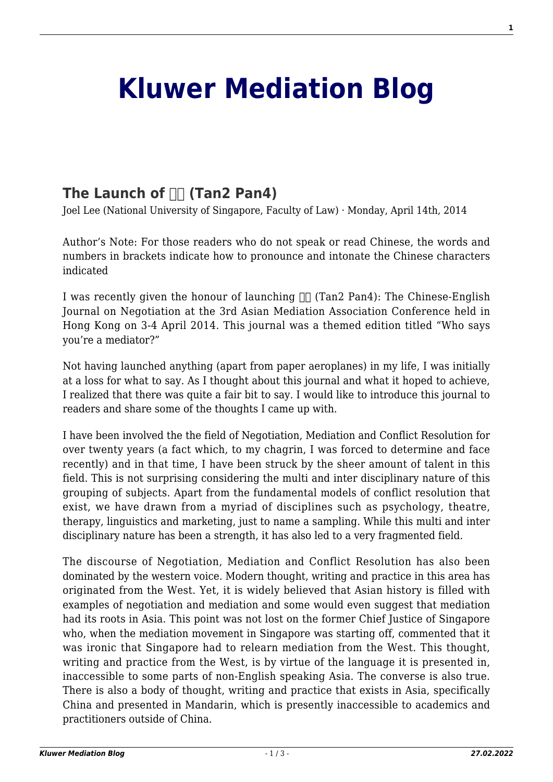## **[Kluwer Mediation Blog](http://mediationblog.kluwerarbitration.com/)**

## The Launch of  $\Box$  (Tan2 Pan4)

Joel Lee (National University of Singapore, Faculty of Law) · Monday, April 14th, 2014

Author's Note: For those readers who do not speak or read Chinese, the words and numbers in brackets indicate how to pronounce and intonate the Chinese characters indicated

I was recently given the honour of launching  $\Box$  (Tan2 Pan4): The Chinese-English Journal on Negotiation at the 3rd Asian Mediation Association Conference held in Hong Kong on 3-4 April 2014. This journal was a themed edition titled "Who says you're a mediator?"

Not having launched anything (apart from paper aeroplanes) in my life, I was initially at a loss for what to say. As I thought about this journal and what it hoped to achieve, I realized that there was quite a fair bit to say. I would like to introduce this journal to readers and share some of the thoughts I came up with.

I have been involved the the field of Negotiation, Mediation and Conflict Resolution for over twenty years (a fact which, to my chagrin, I was forced to determine and face recently) and in that time, I have been struck by the sheer amount of talent in this field. This is not surprising considering the multi and inter disciplinary nature of this grouping of subjects. Apart from the fundamental models of conflict resolution that exist, we have drawn from a myriad of disciplines such as psychology, theatre, therapy, linguistics and marketing, just to name a sampling. While this multi and inter disciplinary nature has been a strength, it has also led to a very fragmented field.

The discourse of Negotiation, Mediation and Conflict Resolution has also been dominated by the western voice. Modern thought, writing and practice in this area has originated from the West. Yet, it is widely believed that Asian history is filled with examples of negotiation and mediation and some would even suggest that mediation had its roots in Asia. This point was not lost on the former Chief Justice of Singapore who, when the mediation movement in Singapore was starting off, commented that it was ironic that Singapore had to relearn mediation from the West. This thought, writing and practice from the West, is by virtue of the language it is presented in, inaccessible to some parts of non-English speaking Asia. The converse is also true. There is also a body of thought, writing and practice that exists in Asia, specifically China and presented in Mandarin, which is presently inaccessible to academics and practitioners outside of China.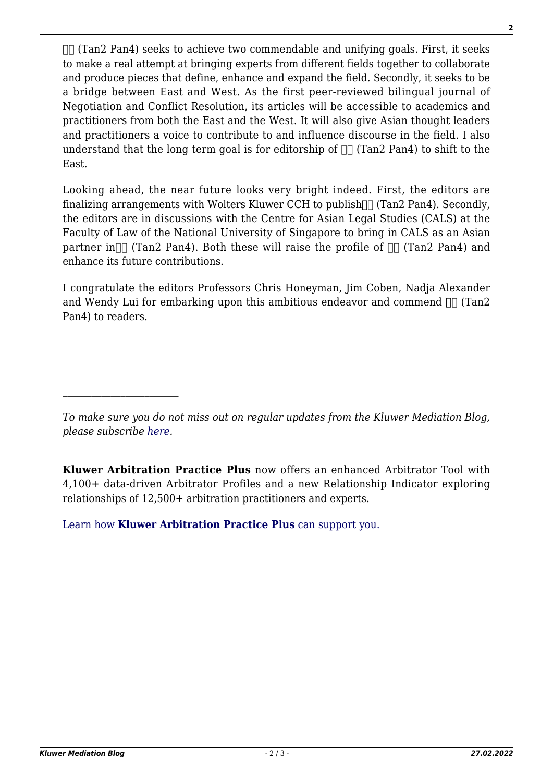$\Pi$  (Tan2 Pan4) seeks to achieve two commendable and unifying goals. First, it seeks to make a real attempt at bringing experts from different fields together to collaborate and produce pieces that define, enhance and expand the field. Secondly, it seeks to be a bridge between East and West. As the first peer-reviewed bilingual journal of Negotiation and Conflict Resolution, its articles will be accessible to academics and practitioners from both the East and the West. It will also give Asian thought leaders and practitioners a voice to contribute to and influence discourse in the field. I also understand that the long term goal is for editorship of  $\Box$  (Tan2 Pan4) to shift to the East.

Looking ahead, the near future looks very bright indeed. First, the editors are finalizing arrangements with Wolters Kluwer CCH to publish $\pi$  (Tan2 Pan4). Secondly, the editors are in discussions with the Centre for Asian Legal Studies (CALS) at the Faculty of Law of the National University of Singapore to bring in CALS as an Asian partner in  $\ln$  (Tan2 Pan4). Both these will raise the profile of  $\ln$  (Tan2 Pan4) and enhance its future contributions.

I congratulate the editors Professors Chris Honeyman, Jim Coben, Nadja Alexander and Wendy Lui for embarking upon this ambitious endeavor and commend  $\Box\Box$  (Tan2 Pan4) to readers.

**Kluwer Arbitration Practice Plus** now offers an enhanced Arbitrator Tool with 4,100+ data-driven Arbitrator Profiles and a new Relationship Indicator exploring relationships of 12,500+ arbitration practitioners and experts.

[Learn how](https://www.wolterskluwer.com/en/solutions/kluwerarbitration/practiceplus?utm_source=mediationblog&utm_medium=articleCTA&utm_campaign=article-banner) **[Kluwer Arbitration Practice Plus](https://www.wolterskluwer.com/en/solutions/kluwerarbitration/practiceplus?utm_source=mediationblog&utm_medium=articleCTA&utm_campaign=article-banner)** [can support you.](https://www.wolterskluwer.com/en/solutions/kluwerarbitration/practiceplus?utm_source=mediationblog&utm_medium=articleCTA&utm_campaign=article-banner)

*To make sure you do not miss out on regular updates from the Kluwer Mediation Blog, please subscribe [here.](http://mediationblog.kluwerarbitration.com/newsletter/)*